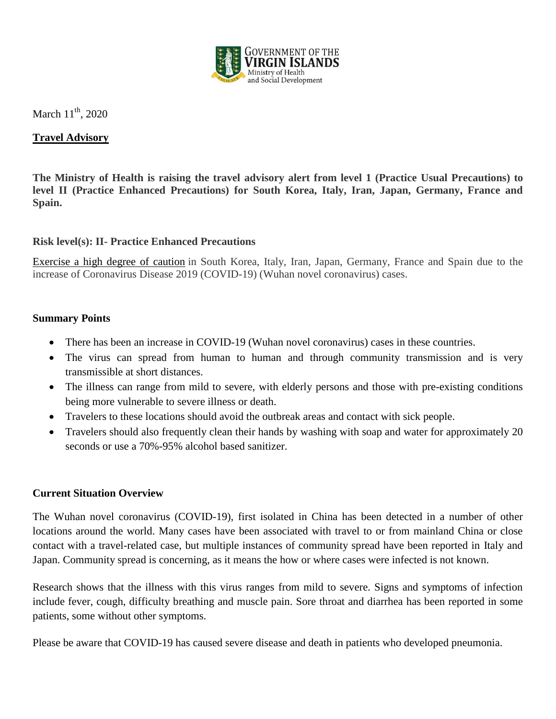

# March  $11^{th}$ , 2020

# **Travel Advisory**

**The Ministry of Health is raising the travel advisory alert from level 1 (Practice Usual Precautions) to level II (Practice Enhanced Precautions) for South Korea, Italy, Iran, Japan, Germany, France and Spain.** 

### **Risk level(s): II- Practice Enhanced Precautions**

Exercise a high degree of caution in South Korea, Italy, Iran, Japan, Germany, France and Spain due to the increase of Coronavirus Disease 2019 (COVID-19) (Wuhan novel coronavirus) cases.

#### **Summary Points**

- There has been an increase in COVID-19 (Wuhan novel coronavirus) cases in these countries.
- The virus can spread from human to human and through community transmission and is very transmissible at short distances.
- The illness can range from mild to severe, with elderly persons and those with pre-existing conditions being more vulnerable to severe illness or death.
- Travelers to these locations should avoid the outbreak areas and contact with sick people.
- Travelers should also frequently clean their hands by washing with soap and water for approximately 20 seconds or use a 70%-95% alcohol based sanitizer.

#### **Current Situation Overview**

The Wuhan novel coronavirus (COVID-19), first isolated in China has been detected in a number of other locations around the world. Many cases have been associated with travel to or from mainland China or close contact with a travel-related case, but multiple instances of community spread have been reported in Italy and Japan. Community spread is concerning, as it means the how or where cases were infected is not known.

Research shows that the illness with this virus ranges from mild to severe. Signs and symptoms of infection include fever, cough, difficulty breathing and muscle pain. Sore throat and diarrhea has been reported in some patients, some without other symptoms.

Please be aware that COVID-19 has caused severe disease and death in patients who developed pneumonia.